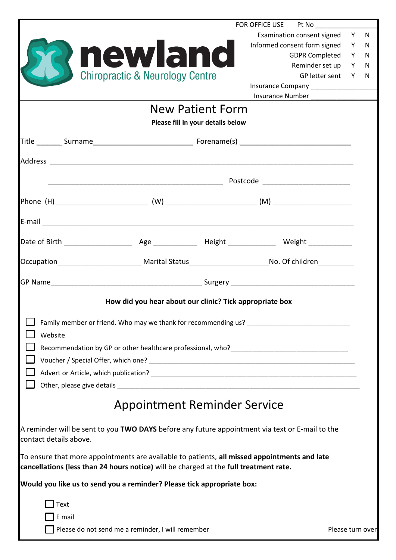|                            |                                                                                                                                                                                       | FOR OFFICE USE Pt No                                                                                                                                                                                                           |                  |    |
|----------------------------|---------------------------------------------------------------------------------------------------------------------------------------------------------------------------------------|--------------------------------------------------------------------------------------------------------------------------------------------------------------------------------------------------------------------------------|------------------|----|
|                            |                                                                                                                                                                                       | Examination consent signed Y                                                                                                                                                                                                   |                  | N. |
|                            |                                                                                                                                                                                       | Informed consent form signed                                                                                                                                                                                                   | Y                | N  |
|                            | newland                                                                                                                                                                               | <b>GDPR Completed</b>                                                                                                                                                                                                          | Y                | N  |
|                            |                                                                                                                                                                                       | Reminder set up                                                                                                                                                                                                                | Y                | N  |
|                            | <b>Chiropractic &amp; Neurology Centre</b>                                                                                                                                            | GP letter sent                                                                                                                                                                                                                 | Y                | N. |
|                            |                                                                                                                                                                                       | Insurance Number                                                                                                                                                                                                               |                  |    |
|                            | <b>New Patient Form</b>                                                                                                                                                               |                                                                                                                                                                                                                                |                  |    |
|                            |                                                                                                                                                                                       |                                                                                                                                                                                                                                |                  |    |
|                            | Please fill in your details below                                                                                                                                                     |                                                                                                                                                                                                                                |                  |    |
|                            |                                                                                                                                                                                       |                                                                                                                                                                                                                                |                  |    |
|                            |                                                                                                                                                                                       |                                                                                                                                                                                                                                |                  |    |
|                            |                                                                                                                                                                                       | in the contract of the contract of the contract of the contract of the contract of the contract of the contract of the contract of the contract of the contract of the contract of the contract of the contract of the contrac |                  |    |
|                            |                                                                                                                                                                                       |                                                                                                                                                                                                                                |                  |    |
|                            |                                                                                                                                                                                       |                                                                                                                                                                                                                                |                  |    |
|                            |                                                                                                                                                                                       |                                                                                                                                                                                                                                |                  |    |
|                            |                                                                                                                                                                                       |                                                                                                                                                                                                                                |                  |    |
|                            |                                                                                                                                                                                       |                                                                                                                                                                                                                                |                  |    |
|                            | How did you hear about our clinic? Tick appropriate box                                                                                                                               |                                                                                                                                                                                                                                |                  |    |
|                            | Family member or friend. Who may we thank for recommending us?                                                                                                                        |                                                                                                                                                                                                                                |                  |    |
| Website                    |                                                                                                                                                                                       |                                                                                                                                                                                                                                |                  |    |
|                            |                                                                                                                                                                                       | Recommendation by GP or other healthcare professional, who?                                                                                                                                                                    |                  |    |
|                            |                                                                                                                                                                                       |                                                                                                                                                                                                                                |                  |    |
|                            |                                                                                                                                                                                       |                                                                                                                                                                                                                                |                  |    |
| Other, please give details |                                                                                                                                                                                       | <u> 1980 - John Stein, mars and de Britain and de Britain and de Britain and de Britain and de Britain and de Br</u>                                                                                                           |                  |    |
|                            | <b>Appointment Reminder Service</b>                                                                                                                                                   |                                                                                                                                                                                                                                |                  |    |
| contact details above.     |                                                                                                                                                                                       | A reminder will be sent to you TWO DAYS before any future appointment via text or E-mail to the                                                                                                                                |                  |    |
|                            |                                                                                                                                                                                       |                                                                                                                                                                                                                                |                  |    |
|                            | To ensure that more appointments are available to patients, all missed appointments and late<br>cancellations (less than 24 hours notice) will be charged at the full treatment rate. |                                                                                                                                                                                                                                |                  |    |
|                            | Would you like us to send you a reminder? Please tick appropriate box:                                                                                                                |                                                                                                                                                                                                                                |                  |    |
| Text                       |                                                                                                                                                                                       |                                                                                                                                                                                                                                |                  |    |
| E mail                     |                                                                                                                                                                                       |                                                                                                                                                                                                                                |                  |    |
|                            | Please do not send me a reminder, I will remember                                                                                                                                     |                                                                                                                                                                                                                                | Please turn over |    |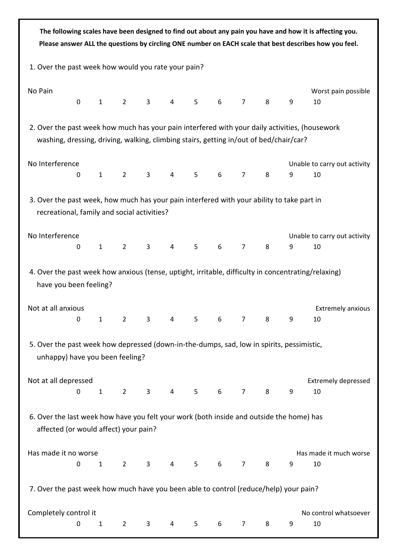|                                                                                                                                                                                          |   |                                        |                |                |                |                |   |                |   |   | The following scales have been designed to find out about any pain you have and how it is affecting you.<br>Please answer ALL the questions by circling ONE number on EACH scale that best describes how you feel. |
|------------------------------------------------------------------------------------------------------------------------------------------------------------------------------------------|---|----------------------------------------|----------------|----------------|----------------|----------------|---|----------------|---|---|--------------------------------------------------------------------------------------------------------------------------------------------------------------------------------------------------------------------|
| 1. Over the past week how would you rate your pain?                                                                                                                                      |   |                                        |                |                |                |                |   |                |   |   |                                                                                                                                                                                                                    |
| No Pain                                                                                                                                                                                  | 0 | $\mathbf{1}$                           | $\overline{2}$ | 3              | $\overline{4}$ | 5              | 6 | $\overline{7}$ | 8 | 9 | Worst pain possible<br>10                                                                                                                                                                                          |
| 2. Over the past week how much has your pain interfered with your daily activities, (housework<br>washing, dressing, driving, walking, climbing stairs, getting in/out of bed/chair/car? |   |                                        |                |                |                |                |   |                |   |   |                                                                                                                                                                                                                    |
| No Interference                                                                                                                                                                          | 0 | $\mathbf{1}$                           | $\overline{2}$ | $\overline{3}$ | 4              | 5              | 6 | $\overline{7}$ | 8 | 9 | Unable to carry out activity<br>10                                                                                                                                                                                 |
| 3. Over the past week, how much has your pain interfered with your ability to take part in<br>recreational, family and social activities?                                                |   |                                        |                |                |                |                |   |                |   |   |                                                                                                                                                                                                                    |
| No Interference                                                                                                                                                                          | 0 | $\mathbf{1}$                           | $\overline{2}$ | 3              | $\overline{4}$ | 5              | 6 | $\overline{7}$ | 8 | 9 | Unable to carry out activity<br>10                                                                                                                                                                                 |
| 4. Over the past week how anxious (tense, uptight, irritable, difficulty in concentrating/relaxing)<br>have you been feeling?                                                            |   |                                        |                |                |                |                |   |                |   |   |                                                                                                                                                                                                                    |
| Not at all anxious                                                                                                                                                                       |   | $\begin{array}{ccc} 0 & 1 \end{array}$ | $2^{\circ}$    | 3.             | 4              | 5.             | 6 | $7^{\circ}$    | 8 | 9 | <b>Extremely anxious</b><br>10.                                                                                                                                                                                    |
| 5. Over the past week how depressed (down-in-the-dumps, sad, low in spirits, pessimistic,<br>unhappy) have you been feeling?                                                             |   |                                        |                |                |                |                |   |                |   |   |                                                                                                                                                                                                                    |
| Not at all depressed                                                                                                                                                                     | 0 | $\mathbf{1}$                           | $2^{\circ}$    | 3 <sup>7</sup> | 4              | 5 <sup>5</sup> | 6 | $\overline{7}$ | 8 | 9 | <b>Extremely depressed</b><br>10                                                                                                                                                                                   |
| 6. Over the last week how have you felt your work (both inside and outside the home) has<br>affected (or would affect) your pain?                                                        |   |                                        |                |                |                |                |   |                |   |   |                                                                                                                                                                                                                    |
| Has made it no worse                                                                                                                                                                     | 0 | $\mathbf{1}$                           | $2^{\circ}$    | $\mathbf{3}$   | $\overline{4}$ | 5 <sub>1</sub> | 6 | $\overline{7}$ | 8 | 9 | Has made it much worse<br>10                                                                                                                                                                                       |
| 7. Over the past week how much have you been able to control (reduce/help) your pain?                                                                                                    |   |                                        |                |                |                |                |   |                |   |   |                                                                                                                                                                                                                    |
| Completely control it                                                                                                                                                                    | 0 | $\mathbf{1}$                           | $2^{\circ}$    | $\mathbf{3}$   | $\overline{4}$ | 5              | 6 | $\overline{7}$ | 8 | 9 | No control whatsoever<br>10                                                                                                                                                                                        |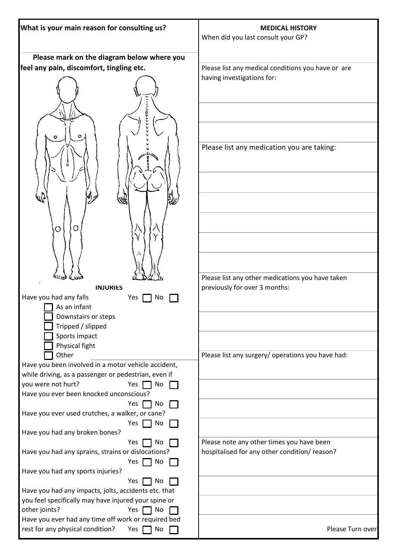| What is your main reason for consulting us?                                                                                                    | <b>MEDICAL HISTORY</b>                                                                    |  |  |  |
|------------------------------------------------------------------------------------------------------------------------------------------------|-------------------------------------------------------------------------------------------|--|--|--|
|                                                                                                                                                | When did you last consult your GP?                                                        |  |  |  |
|                                                                                                                                                |                                                                                           |  |  |  |
| Please mark on the diagram below where you                                                                                                     |                                                                                           |  |  |  |
| feel any pain, discomfort, tingling etc.                                                                                                       | Please list any medical conditions you have or are<br>having investigations for:          |  |  |  |
| ccoli<br>o                                                                                                                                     | Please list any medication you are taking:                                                |  |  |  |
| O<br>$\circ$                                                                                                                                   |                                                                                           |  |  |  |
| <b>INJURIES</b><br>Have you had any falls<br>Yes<br>No                                                                                         | Please list any other medications you have taken<br>previously for over 3 months:         |  |  |  |
| As an infant<br>Downstairs or steps<br>Tripped / slipped<br>Sports impact<br>Physical fight                                                    |                                                                                           |  |  |  |
| Other<br>Have you been involved in a motor vehicle accident,<br>while driving, as a passenger or pedestrian, even if                           | Please list any surgery/ operations you have had:                                         |  |  |  |
| you were not hurt?<br>Yes $\Gamma$<br>$\sqcap$ No<br>Have you ever been knocked unconscious?<br>No<br>Yes                                      |                                                                                           |  |  |  |
| Have you ever used crutches, a walker, or cane?<br>Yes $\Box$ No                                                                               |                                                                                           |  |  |  |
| Have you had any broken bones?<br>Yes<br>No<br>Have you had any sprains, strains or dislocations?<br>Yes [<br>$\Box$ No                        | Please note any other times you have been<br>hospitalised for any other condition/reason? |  |  |  |
| Have you had any sports injuries?<br>Yes<br>No                                                                                                 |                                                                                           |  |  |  |
| Have you had any impacts, jolts, accidents etc. that<br>you feel specifically may have injured your spine or<br>other joints?<br>Yes  <br>T No |                                                                                           |  |  |  |
| Have you ever had any time off work or required bed<br>rest for any physical condition?<br>Yes<br>No                                           | Please Turn over                                                                          |  |  |  |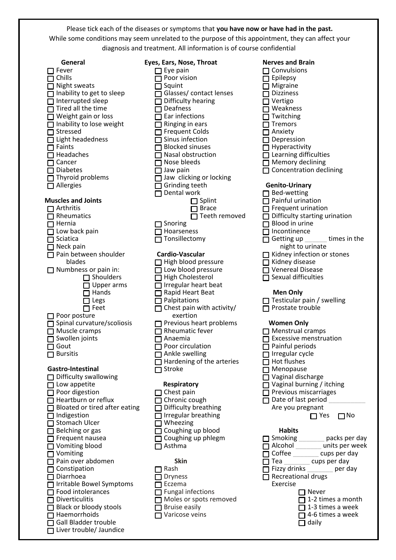Please tick each of the diseases or symptoms that **you have now or have had in the past.** While some conditions may seem unrelated to the purpose of this appointment, they can affect your diagnosis and treatment. All information is of course confidential

| General                           | Eyes, Ears, Nose, Throat         | <b>Nerves and Brain</b>              |
|-----------------------------------|----------------------------------|--------------------------------------|
|                                   |                                  |                                      |
| Fever                             | $\Box$ Eye pain                  | $\Box$ Convulsions                   |
| $\sqcap$ Chills                   | $\Box$ Poor vision               | $\Box$ Epilepsy                      |
| □ Night sweats                    | $\Box$ Squint                    | $\Box$ Migraine                      |
|                                   |                                  |                                      |
| Inability to get to sleep         | □ Glasses/ contact lenses        | <b>Dizziness</b>                     |
| Interrupted sleep                 | Difficulty hearing               | $\Box$ Vertigo                       |
|                                   |                                  |                                      |
| Tired all the time                | $\sqcap$ Deafness                | $\Box$ Weakness                      |
| Weight gain or loss               | Ear infections                   | Twitching                            |
| Inability to lose weight          | Ringing in ears                  | Tremors                              |
|                                   |                                  |                                      |
| Stressed                          | □ Frequent Colds                 | Anxiety                              |
| $\Box$ Light headedness           | $\Box$ Sinus infection           | Depression                           |
|                                   |                                  |                                      |
| $\Box$ Faints                     | $\Box$ Blocked sinuses           | $\Box$ Hyperactivity                 |
| $\Box$ Headaches                  | $\Box$ Nasal obstruction         | $\Box$ Learning difficulties         |
| $\Box$ Cancer                     | $\Box$ Nose bleeds               | $\Box$ Memory declining              |
|                                   |                                  |                                      |
| $\Box$ Diabetes                   | $\Box$ Jaw pain                  | $\Box$ Concentration declining       |
| $\Box$ Thyroid problems           | Jaw clicking or locking          |                                      |
|                                   |                                  |                                      |
| $\Box$ Allergies                  | Grinding teeth<br>$\mathsf{L}$   | <b>Genito-Urinary</b>                |
|                                   | Dental work                      | $\Box$ Bed-wetting                   |
|                                   |                                  |                                      |
| <b>Muscles and Joints</b>         | $\Box$ Splint                    | $\Box$ Painful urination             |
| $\Box$ Arthritis                  | <b>□</b> Brace                   | $\Box$ Frequent urination            |
| Rheumatics                        | Teeth removed                    | $\Box$ Difficulty starting urination |
|                                   |                                  |                                      |
| $\Box$ Hernia                     | Snoring<br>$\mathsf{L}$          | $\Box$ Blood in urine                |
| $\Box$ Low back pain              | $\Box$ Hoarseness                | $\Box$ Incontinence                  |
|                                   |                                  |                                      |
| $\Box$ Sciatica                   | Tonsillectomy                    | Getting up<br>times in the           |
| $\Box$ Neck pain                  |                                  | night to urinate                     |
| $\Box$ Pain between shoulder      | <b>Cardio-Vascular</b>           |                                      |
|                                   |                                  | $\Box$ Kidney infection or stones    |
| blades                            | $\Box$ High blood pressure       | $\Box$ Kidney disease                |
| $\Box$ Numbness or pain in:       | $\Box$ Low blood pressure        | $\Box$ Venereal Disease              |
|                                   |                                  |                                      |
| $\Box$ Shoulders                  | $\Box$ High Cholesterol          | $\Box$ Sexual difficulties           |
| $\Box$ Upper arms                 | $\Box$ Irregular heart beat      |                                      |
|                                   |                                  |                                      |
| $\Box$ Hands                      | $\Box$ Rapid Heart Beat          | <b>Men Only</b>                      |
| $\Box$ Legs                       | $\Box$ Palpitations              | $\Box$ Testicular pain / swelling    |
| $\Box$ Feet                       | Chest pain with activity/        | $\Box$ Prostate trouble              |
|                                   |                                  |                                      |
| Poor posture                      | exertion                         |                                      |
| $\Box$ Spinal curvature/scoliosis | $\Box$ Previous heart problems   | <b>Women Only</b>                    |
|                                   |                                  |                                      |
| $\Box$ Muscle cramps              | $\Box$ Rheumatic fever           | $\Box$ Menstrual cramps              |
| Swollen joints                    | $\sqcap$ Anaemia                 | $\Box$ Excessive menstruation        |
| Gout                              | $\Box$ Poor circulation          |                                      |
|                                   |                                  | $\Box$ Painful periods               |
| $\Box$ Bursitis                   | $\Box$ Ankle swelling            | $\Box$ Irregular cycle               |
|                                   | $\Box$ Hardening of the arteries | $\Box$ Hot flushes                   |
|                                   |                                  |                                      |
| Gastro-Intestinal                 | $\sqcap$ Stroke                  | $\Box$ Menopause                     |
| $\Box$ Difficulty swallowing      |                                  | $\Box$ Vaginal discharge             |
| $\Box$ Low appetite               | <b>Respiratory</b>               | $\Box$ Vaginal burning / itching     |
|                                   |                                  |                                      |
| $\Box$ Poor digestion             | $\Box$ Chest pain                | $\Box$ Previous miscarriages         |
| Heartburn or reflux               | Chronic cough<br>П               | $\Box$ Date of last period           |
|                                   |                                  |                                      |
| Bloated or tired after eating     | Difficulty breathing             | Are you pregnant                     |
| Indigestion                       | $\Box$ Irregular breathing       | $\square$ No<br>$\Box$ Yes           |
| Stomach Ulcer                     | $\Box$ Wheezing                  |                                      |
|                                   |                                  |                                      |
| Belching or gas                   | □ Coughing up blood              | <b>Habits</b>                        |
| $\Box$ Frequent nausea            | $\Box$ Coughing up phlegm        | □ Smoking ________ packs per day     |
|                                   |                                  |                                      |
| $\Box$ Vomiting blood             | $\Box$ Asthma                    | Alcohol ________ units per week      |
| $\Box$ Vomiting                   |                                  | Coffee cups per day                  |
| $\Box$ Pain over abdomen          | <b>Skin</b>                      | $\Box$ Tea _________ cups per day    |
|                                   |                                  |                                      |
| Constipation                      | $\Box$ Rash                      | Fizzy drinks<br>per day              |
| Diarrhoea                         | <b>Dryness</b>                   | Recreational drugs                   |
|                                   |                                  |                                      |
| Irritable Bowel Symptoms          | Eczema<br>П                      | Exercise                             |
| Food intolerances                 | $\Box$ Fungal infections         | $\Box$ Never                         |
| <b>Diverticulitis</b>             | $\Box$ Moles or spots removed    | 1-2 times a month                    |
|                                   |                                  |                                      |
| Black or bloody stools            | $\Box$ Bruise easily             | 1-3 times a week                     |
| Haemorrhoids                      | Varicose veins                   | 14-6 times a week                    |
|                                   |                                  |                                      |
| <b>Gall Bladder trouble</b>       |                                  | daily                                |
| Liver trouble/ Jaundice           |                                  |                                      |